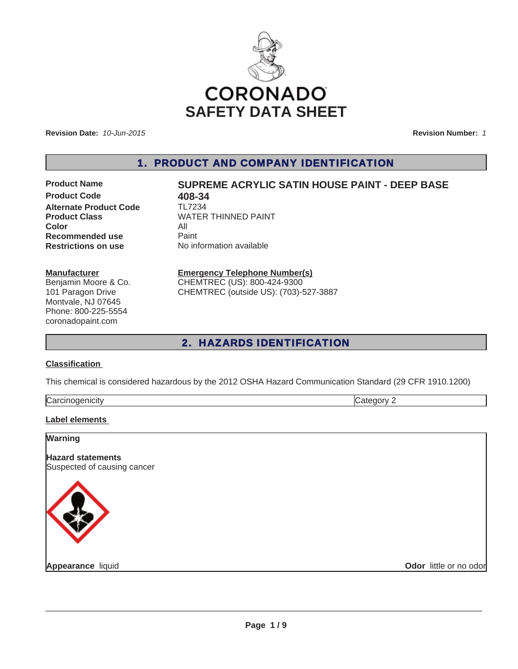

**Revision Date:** *10-Jun-2015*

**Revision Number:** *1*

1. PRODUCT AND COMPANY IDENTIFICATION

**Product Code 618-34**<br>**Alternate Product Code** TL7234 **Alternate Product Code Color** All **Recommended use** Paint<br> **Restrictions on use** No inf

# **Product Name SUPREME ACRYLIC SATIN HOUSE PAINT - DEEP BASE**

**Product Class** WATER THINNED PAINT **No information available** 

#### **Manufacturer**

Benjamin Moore & Co. 101 Paragon Drive Montvale, NJ 07645 Phone: 800-225-5554 coronadopaint.com

# **Emergency Telephone Number(s)**

CHEMTREC (US): 800-424-9300 CHEMTREC (outside US): (703)-527-3887

# 2. HAZARDS IDENTIFICATION

## **Classification**

This chemical is considered hazardous by the 2012 OSHA Hazard Communication Standard (29 CFR 1910.1200)

| lCa. |  |
|------|--|
|      |  |

## **Label elements**

| <b>Warning</b>                                          |                        |
|---------------------------------------------------------|------------------------|
| <b>Hazard statements</b><br>Suspected of causing cancer |                        |
|                                                         |                        |
| Appearance liquid                                       | Odor little or no odor |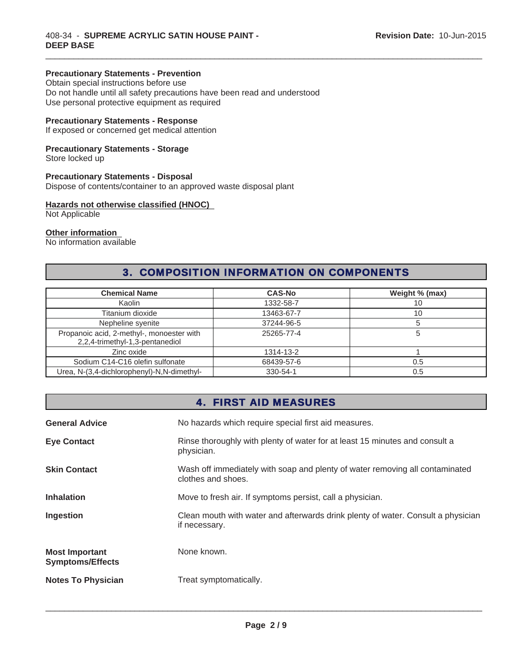## **Precautionary Statements - Prevention**

Obtain special instructions before use Do not handle until all safety precautions have been read and understood Use personal protective equipment as required

## **Precautionary Statements - Response**

If exposed or concerned get medical attention

# **Precautionary Statements - Storage**

Store locked up

# **Precautionary Statements - Disposal**

Dispose of contents/container to an approved waste disposal plant

# **Hazards not otherwise classified (HNOC)**

Not Applicable

## **Other information**

No information available

# 3. COMPOSITION INFORMATION ON COMPONENTS

 $\_$  ,  $\_$  ,  $\_$  ,  $\_$  ,  $\_$  ,  $\_$  ,  $\_$  ,  $\_$  ,  $\_$  ,  $\_$  ,  $\_$  ,  $\_$  ,  $\_$  ,  $\_$  ,  $\_$  ,  $\_$  ,  $\_$  ,  $\_$  ,  $\_$  ,  $\_$  ,  $\_$  ,  $\_$  ,  $\_$  ,  $\_$  ,  $\_$  ,  $\_$  ,  $\_$  ,  $\_$  ,  $\_$  ,  $\_$  ,  $\_$  ,  $\_$  ,  $\_$  ,  $\_$  ,  $\_$  ,  $\_$  ,  $\_$  ,

| <b>Chemical Name</b>                                                         | <b>CAS-No</b> | Weight % (max) |
|------------------------------------------------------------------------------|---------------|----------------|
| Kaolin                                                                       | 1332-58-7     | 10             |
| Titanium dioxide                                                             | 13463-67-7    | 10             |
| Nepheline syenite                                                            | 37244-96-5    |                |
| Propanoic acid, 2-methyl-, monoester with<br>2,2,4-trimethyl-1,3-pentanediol | 25265-77-4    |                |
| Zinc oxide                                                                   | 1314-13-2     |                |
| Sodium C14-C16 olefin sulfonate                                              | 68439-57-6    | 0.5            |
| Urea, N-(3,4-dichlorophenyl)-N,N-dimethyl-                                   | 330-54-1      | 0.5            |

# 4. FIRST AID MEASURES

| <b>General Advice</b>                            | No hazards which require special first aid measures.                                               |
|--------------------------------------------------|----------------------------------------------------------------------------------------------------|
| <b>Eye Contact</b>                               | Rinse thoroughly with plenty of water for at least 15 minutes and consult a<br>physician.          |
| <b>Skin Contact</b>                              | Wash off immediately with soap and plenty of water removing all contaminated<br>clothes and shoes. |
| <b>Inhalation</b>                                | Move to fresh air. If symptoms persist, call a physician.                                          |
| Ingestion                                        | Clean mouth with water and afterwards drink plenty of water. Consult a physician<br>if necessary.  |
| <b>Most Important</b><br><b>Symptoms/Effects</b> | None known.                                                                                        |
| <b>Notes To Physician</b>                        | Treat symptomatically.                                                                             |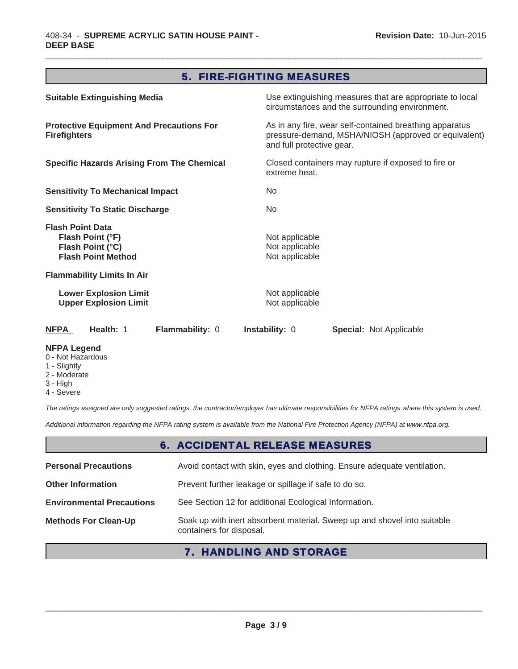# 5. FIRE-FIGHTING MEASURES

 $\_$  ,  $\_$  ,  $\_$  ,  $\_$  ,  $\_$  ,  $\_$  ,  $\_$  ,  $\_$  ,  $\_$  ,  $\_$  ,  $\_$  ,  $\_$  ,  $\_$  ,  $\_$  ,  $\_$  ,  $\_$  ,  $\_$  ,  $\_$  ,  $\_$  ,  $\_$  ,  $\_$  ,  $\_$  ,  $\_$  ,  $\_$  ,  $\_$  ,  $\_$  ,  $\_$  ,  $\_$  ,  $\_$  ,  $\_$  ,  $\_$  ,  $\_$  ,  $\_$  ,  $\_$  ,  $\_$  ,  $\_$  ,  $\_$  ,

| <b>Suitable Extinguishing Media</b>                                                          |                                                    | Use extinguishing measures that are appropriate to local<br>circumstances and the surrounding environment.      |  |
|----------------------------------------------------------------------------------------------|----------------------------------------------------|-----------------------------------------------------------------------------------------------------------------|--|
| <b>Protective Equipment And Precautions For</b><br><b>Firefighters</b>                       | and full protective gear.                          | As in any fire, wear self-contained breathing apparatus<br>pressure-demand, MSHA/NIOSH (approved or equivalent) |  |
| <b>Specific Hazards Arising From The Chemical</b>                                            |                                                    | Closed containers may rupture if exposed to fire or<br>extreme heat.                                            |  |
| <b>Sensitivity To Mechanical Impact</b>                                                      | No                                                 |                                                                                                                 |  |
| <b>Sensitivity To Static Discharge</b>                                                       | No.                                                |                                                                                                                 |  |
| <b>Flash Point Data</b><br>Flash Point (°F)<br>Flash Point (°C)<br><b>Flash Point Method</b> | Not applicable<br>Not applicable<br>Not applicable |                                                                                                                 |  |
| <b>Flammability Limits In Air</b>                                                            |                                                    |                                                                                                                 |  |
| <b>Lower Explosion Limit</b><br><b>Upper Explosion Limit</b>                                 | Not applicable<br>Not applicable                   |                                                                                                                 |  |
| Health: 1<br>Flammability: 0<br>NFPA                                                         | <b>Instability: 0</b>                              | <b>Special: Not Applicable</b>                                                                                  |  |
| <b>NFPA Legend</b>                                                                           |                                                    |                                                                                                                 |  |

- 0 Not Hazardous
- 1 Slightly
- 2 Moderate
- 3 High 4 - Severe
- 

*The ratings assigned are only suggested ratings, the contractor/employer has ultimate responsibilities for NFPA ratings where this system is used.*

*Additional information regarding the NFPA rating system is available from the National Fire Protection Agency (NFPA) at www.nfpa.org.*

# 6. ACCIDENTAL RELEASE MEASURES

| <b>Personal Precautions</b>      | Avoid contact with skin, eyes and clothing. Ensure adequate ventilation.                             |
|----------------------------------|------------------------------------------------------------------------------------------------------|
| <b>Other Information</b>         | Prevent further leakage or spillage if safe to do so.                                                |
| <b>Environmental Precautions</b> | See Section 12 for additional Ecological Information.                                                |
| <b>Methods For Clean-Up</b>      | Soak up with inert absorbent material. Sweep up and shovel into suitable<br>containers for disposal. |

# 7. HANDLING AND STORAGE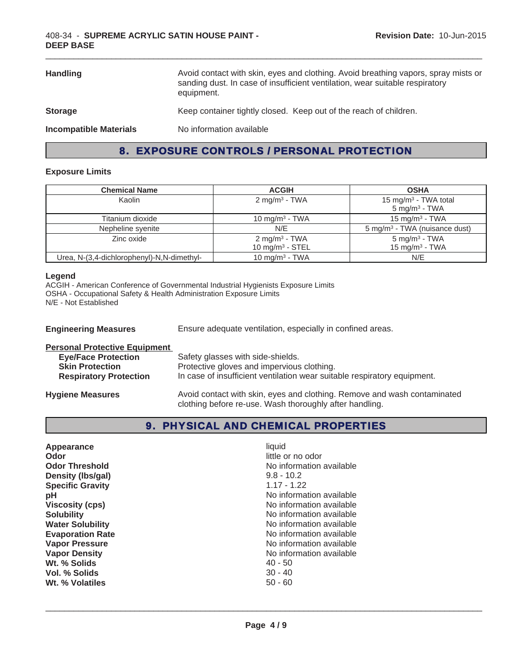| <b>Handling</b>               | Avoid contact with skin, eyes and clothing. Avoid breathing vapors, spray mists or<br>sanding dust. In case of insufficient ventilation, wear suitable respiratory<br>equipment. |
|-------------------------------|----------------------------------------------------------------------------------------------------------------------------------------------------------------------------------|
| <b>Storage</b>                | Keep container tightly closed. Keep out of the reach of children.                                                                                                                |
| <b>Incompatible Materials</b> | No information available                                                                                                                                                         |

 $\_$  ,  $\_$  ,  $\_$  ,  $\_$  ,  $\_$  ,  $\_$  ,  $\_$  ,  $\_$  ,  $\_$  ,  $\_$  ,  $\_$  ,  $\_$  ,  $\_$  ,  $\_$  ,  $\_$  ,  $\_$  ,  $\_$  ,  $\_$  ,  $\_$  ,  $\_$  ,  $\_$  ,  $\_$  ,  $\_$  ,  $\_$  ,  $\_$  ,  $\_$  ,  $\_$  ,  $\_$  ,  $\_$  ,  $\_$  ,  $\_$  ,  $\_$  ,  $\_$  ,  $\_$  ,  $\_$  ,  $\_$  ,  $\_$  ,

# 8. EXPOSURE CONTROLS / PERSONAL PROTECTION

# **Exposure Limits**

| <b>Chemical Name</b>                       | <b>ACGIH</b>                                   | <b>OSHA</b>                                                  |
|--------------------------------------------|------------------------------------------------|--------------------------------------------------------------|
| Kaolin                                     | 2 mg/m <sup>3</sup> - TWA                      | 15 mg/m <sup>3</sup> - TWA total<br>$5 \text{ mg/m}^3$ - TWA |
| Titanium dioxide                           | 10 mg/m <sup>3</sup> - TWA                     | 15 mg/m <sup>3</sup> - TWA                                   |
| Nepheline syenite                          | N/E                                            | 5 mg/m <sup>3</sup> - TWA (nuisance dust)                    |
| Zinc oxide                                 | $2 \text{ mg/m}^3$ - TWA<br>10 mg/m $3 -$ STEL | $5$ mg/m <sup>3</sup> - TWA<br>15 mg/m $3$ - TWA             |
| Urea, N-(3,4-dichlorophenyl)-N,N-dimethyl- | 10 mg/m <sup>3</sup> - TWA                     | N/E                                                          |

## **Legend**

ACGIH - American Conference of Governmental Industrial Hygienists Exposure Limits OSHA - Occupational Safety & Health Administration Exposure Limits N/E - Not Established

| <b>Engineering Measures</b>                                                                                                   | Ensure adequate ventilation, especially in confined areas.                                                                                                  |  |
|-------------------------------------------------------------------------------------------------------------------------------|-------------------------------------------------------------------------------------------------------------------------------------------------------------|--|
| <b>Personal Protective Equipment</b><br><b>Eye/Face Protection</b><br><b>Skin Protection</b><br><b>Respiratory Protection</b> | Safety glasses with side-shields.<br>Protective gloves and impervious clothing.<br>In case of insufficient ventilation wear suitable respiratory equipment. |  |
| <b>Hygiene Measures</b>                                                                                                       | Avoid contact with skin, eyes and clothing. Remove and wash contaminated                                                                                    |  |

clothing before re-use. Wash thoroughly after handling.

# 9. PHYSICAL AND CHEMICAL PROPERTIES

| little or no odor<br>Odor<br>No information available<br><b>Odor Threshold</b><br>Density (Ibs/gal)<br>$9.8 - 10.2$<br><b>Specific Gravity</b><br>$1.17 - 1.22$<br>рH<br><b>Viscosity (cps)</b><br><b>Solubility</b><br><b>Water Solubility</b><br><b>Evaporation Rate</b><br><b>Vapor Pressure</b><br><b>Vapor Density</b><br>Wt. % Solids<br>$40 - 50$<br>$30 - 40$<br>Vol. % Solids | No information available<br>No information available<br>No information available<br>No information available<br>No information available<br>No information available<br>No information available |
|----------------------------------------------------------------------------------------------------------------------------------------------------------------------------------------------------------------------------------------------------------------------------------------------------------------------------------------------------------------------------------------|--------------------------------------------------------------------------------------------------------------------------------------------------------------------------------------------------|
| Wt. % Volatiles<br>$50 - 60$                                                                                                                                                                                                                                                                                                                                                           |                                                                                                                                                                                                  |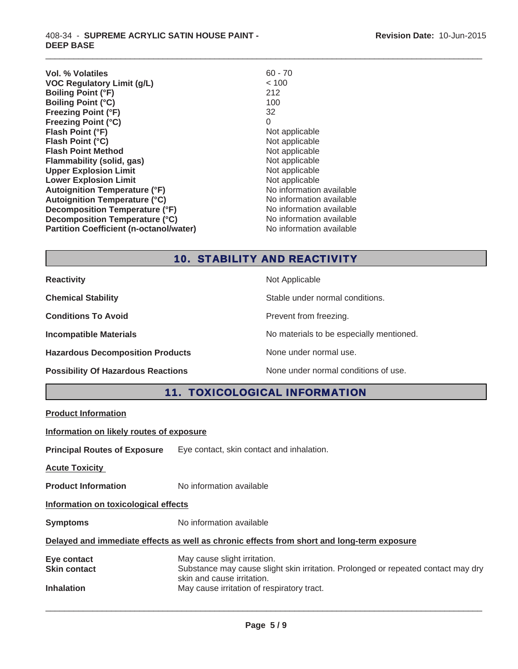| Vol. % Volatiles                               | $60 - 70$                |
|------------------------------------------------|--------------------------|
| <b>VOC Regulatory Limit (g/L)</b>              | < 100                    |
| <b>Boiling Point (°F)</b>                      | 212                      |
| <b>Boiling Point (°C)</b>                      | 100                      |
| <b>Freezing Point (°F)</b>                     | 32                       |
| <b>Freezing Point (°C)</b>                     | 0                        |
| Flash Point (°F)                               | Not applicable           |
| Flash Point (°C)                               | Not applicable           |
| <b>Flash Point Method</b>                      | Not applicable           |
| Flammability (solid, gas)                      | Not applicable           |
| <b>Upper Explosion Limit</b>                   | Not applicable           |
| <b>Lower Explosion Limit</b>                   | Not applicable           |
| <b>Autoignition Temperature (°F)</b>           | No information available |
| <b>Autoignition Temperature (°C)</b>           | No information available |
| <b>Decomposition Temperature (°F)</b>          | No information available |
| Decomposition Temperature (°C)                 | No information available |
| <b>Partition Coefficient (n-octanol/water)</b> | No information available |
|                                                |                          |

# 10. STABILITY AND REACTIVITY

 $\_$  ,  $\_$  ,  $\_$  ,  $\_$  ,  $\_$  ,  $\_$  ,  $\_$  ,  $\_$  ,  $\_$  ,  $\_$  ,  $\_$  ,  $\_$  ,  $\_$  ,  $\_$  ,  $\_$  ,  $\_$  ,  $\_$  ,  $\_$  ,  $\_$  ,  $\_$  ,  $\_$  ,  $\_$  ,  $\_$  ,  $\_$  ,  $\_$  ,  $\_$  ,  $\_$  ,  $\_$  ,  $\_$  ,  $\_$  ,  $\_$  ,  $\_$  ,  $\_$  ,  $\_$  ,  $\_$  ,  $\_$  ,  $\_$  ,

| <b>Reactivity</b>                         | Not Applicable                           |
|-------------------------------------------|------------------------------------------|
| <b>Chemical Stability</b>                 | Stable under normal conditions.          |
| <b>Conditions To Avoid</b>                | Prevent from freezing.                   |
| <b>Incompatible Materials</b>             | No materials to be especially mentioned. |
| <b>Hazardous Decomposition Products</b>   | None under normal use.                   |
| <b>Possibility Of Hazardous Reactions</b> | None under normal conditions of use.     |

# 11. TOXICOLOGICAL INFORMATION

**Product Information**

**Information on likely routes of exposure**

**Principal Routes of Exposure** Eye contact, skin contact and inhalation.

**Acute Toxicity** 

**Product Information** No information available

**Information on toxicological effects**

**Symptoms** No information available

# **Delayed and immediate effects as well as chronic effects from short and long-term exposure**

| Eye contact         | May cause slight irritation.                                                      |
|---------------------|-----------------------------------------------------------------------------------|
| <b>Skin contact</b> | Substance may cause slight skin irritation. Prolonged or repeated contact may dry |
|                     | skin and cause irritation.                                                        |
| <b>Inhalation</b>   | May cause irritation of respiratory tract.                                        |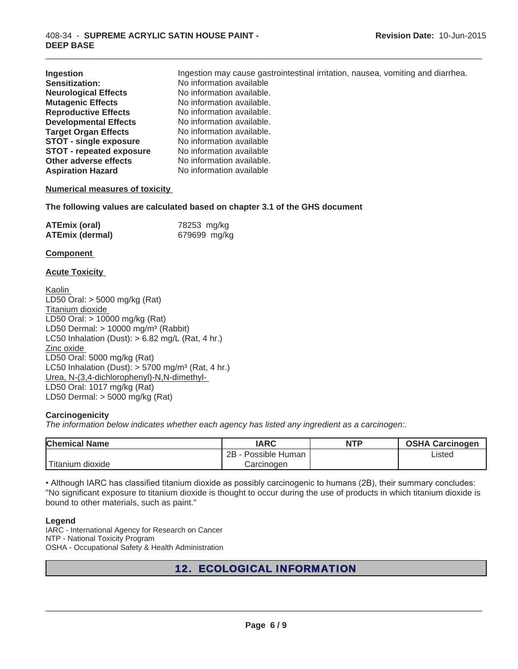| Ingestion                       | Ingestion may cause gastrointestinal irritation, nausea, vomiting and diarrhea. |
|---------------------------------|---------------------------------------------------------------------------------|
| Sensitization:                  | No information available                                                        |
| <b>Neurological Effects</b>     | No information available.                                                       |
| <b>Mutagenic Effects</b>        | No information available.                                                       |
| <b>Reproductive Effects</b>     | No information available.                                                       |
| <b>Developmental Effects</b>    | No information available.                                                       |
| <b>Target Organ Effects</b>     | No information available.                                                       |
| <b>STOT - single exposure</b>   | No information available                                                        |
| <b>STOT - repeated exposure</b> | No information available                                                        |
| Other adverse effects           | No information available.                                                       |
| <b>Aspiration Hazard</b>        | No information available                                                        |

 $\_$  ,  $\_$  ,  $\_$  ,  $\_$  ,  $\_$  ,  $\_$  ,  $\_$  ,  $\_$  ,  $\_$  ,  $\_$  ,  $\_$  ,  $\_$  ,  $\_$  ,  $\_$  ,  $\_$  ,  $\_$  ,  $\_$  ,  $\_$  ,  $\_$  ,  $\_$  ,  $\_$  ,  $\_$  ,  $\_$  ,  $\_$  ,  $\_$  ,  $\_$  ,  $\_$  ,  $\_$  ,  $\_$  ,  $\_$  ,  $\_$  ,  $\_$  ,  $\_$  ,  $\_$  ,  $\_$  ,  $\_$  ,  $\_$  ,

## **Numerical measures of toxicity**

**The following values are calculated based on chapter 3.1 of the GHS document**

| <b>ATEmix (oral)</b>   | 78253 mg/kg  |
|------------------------|--------------|
| <b>ATEmix (dermal)</b> | 679699 mg/kg |

#### **Component**

## **Acute Toxicity**

Kaolin LD50 Oral: > 5000 mg/kg (Rat) Titanium dioxide LD50 Oral: > 10000 mg/kg (Rat) LD50 Dermal:  $> 10000$  mg/m<sup>3</sup> (Rabbit) LC50 Inhalation (Dust):  $> 6.82$  mg/L (Rat, 4 hr.) Zinc oxide LD50 Oral: 5000 mg/kg (Rat) LC50 Inhalation (Dust):  $> 5700$  mg/m<sup>3</sup> (Rat, 4 hr.) Urea, N-(3,4-dichlorophenyl)-N,N-dimethyl-LD50 Oral: 1017 mg/kg (Rat) LD50 Dermal: > 5000 mg/kg (Rat)

## **Carcinogenicity**

*The information below indicates whether each agency has listed any ingredient as a carcinogen:.*

| <b>Chemical Name</b> | <b>IARC</b>          | <b>NTP</b> | <b>OSHA Carcinogen</b> |
|----------------------|----------------------|------------|------------------------|
|                      | 2B<br>Possible Human |            | Listed                 |
| Titanium dioxide     | Carcinogen           |            |                        |

. Although IARC has classified titanium dioxide as possibly carcinogenic to humans (2B), their summary concludes: "No significant exposure to titanium dioxide is thought to occur during the use of products in which titanium dioxide is bound to other materials, such as paint."

## **Legend**

IARC - International Agency for Research on Cancer NTP - National Toxicity Program OSHA - Occupational Safety & Health Administration

# 12. ECOLOGICAL INFORMATION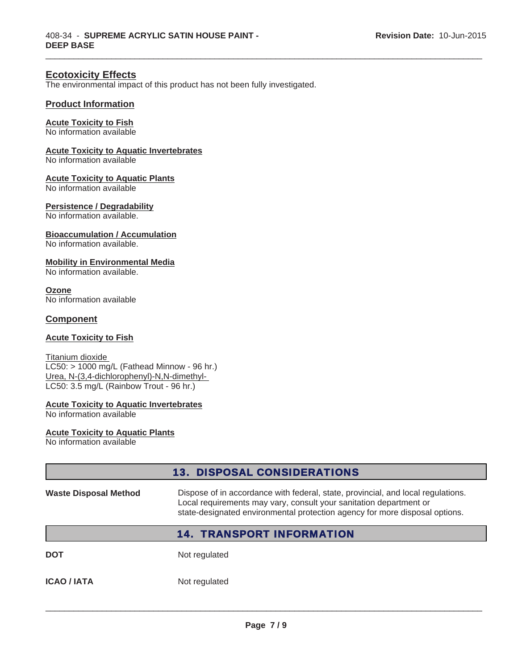# **Ecotoxicity Effects**

The environmental impact of this product has not been fully investigated.

 $\_$  ,  $\_$  ,  $\_$  ,  $\_$  ,  $\_$  ,  $\_$  ,  $\_$  ,  $\_$  ,  $\_$  ,  $\_$  ,  $\_$  ,  $\_$  ,  $\_$  ,  $\_$  ,  $\_$  ,  $\_$  ,  $\_$  ,  $\_$  ,  $\_$  ,  $\_$  ,  $\_$  ,  $\_$  ,  $\_$  ,  $\_$  ,  $\_$  ,  $\_$  ,  $\_$  ,  $\_$  ,  $\_$  ,  $\_$  ,  $\_$  ,  $\_$  ,  $\_$  ,  $\_$  ,  $\_$  ,  $\_$  ,  $\_$  ,

# **Product Information**

#### **Acute Toxicity to Fish**

No information available

# **Acute Toxicity to Aquatic Invertebrates**

No information available

#### **Acute Toxicity to Aquatic Plants**

No information available

## **Persistence / Degradability**

No information available.

## **Bioaccumulation / Accumulation**

No information available.

## **Mobility in Environmental Media**

No information available.

**Ozone** No information available

## **Component**

## **Acute Toxicity to Fish**

Titanium dioxide LC50: > 1000 mg/L (Fathead Minnow - 96 hr.) Urea, N-(3,4-dichlorophenyl)-N,N-dimethyl-LC50: 3.5 mg/L (Rainbow Trout - 96 hr.)

# **Acute Toxicity to Aquatic Invertebrates**

No information available

## **Acute Toxicity to Aquatic Plants**

No information available

|                              | <b>13. DISPOSAL CONSIDERATIONS</b>                                                                                                                                                                                                    |
|------------------------------|---------------------------------------------------------------------------------------------------------------------------------------------------------------------------------------------------------------------------------------|
| <b>Waste Disposal Method</b> | Dispose of in accordance with federal, state, provincial, and local regulations.<br>Local requirements may vary, consult your sanitation department or<br>state-designated environmental protection agency for more disposal options. |
|                              | <b>14. TRANSPORT INFORMATION</b>                                                                                                                                                                                                      |
| <b>DOT</b>                   | Not regulated                                                                                                                                                                                                                         |
| <b>ICAO / IATA</b>           | Not regulated                                                                                                                                                                                                                         |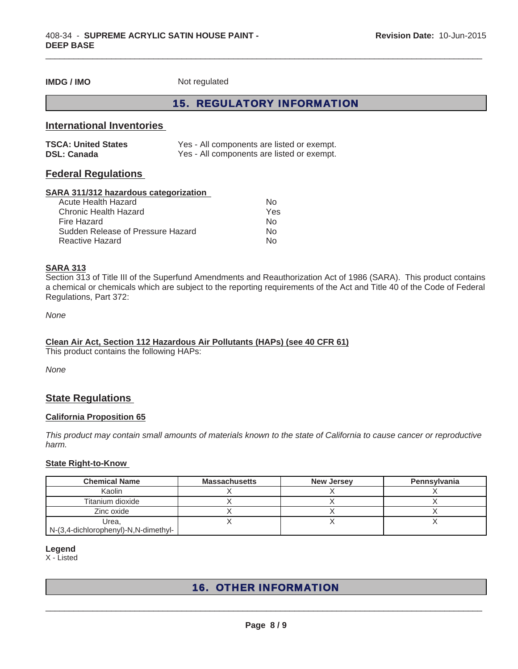**IMDG / IMO** Not regulated

# 15. REGULATORY INFORMATION

 $\_$  ,  $\_$  ,  $\_$  ,  $\_$  ,  $\_$  ,  $\_$  ,  $\_$  ,  $\_$  ,  $\_$  ,  $\_$  ,  $\_$  ,  $\_$  ,  $\_$  ,  $\_$  ,  $\_$  ,  $\_$  ,  $\_$  ,  $\_$  ,  $\_$  ,  $\_$  ,  $\_$  ,  $\_$  ,  $\_$  ,  $\_$  ,  $\_$  ,  $\_$  ,  $\_$  ,  $\_$  ,  $\_$  ,  $\_$  ,  $\_$  ,  $\_$  ,  $\_$  ,  $\_$  ,  $\_$  ,  $\_$  ,  $\_$  ,

# **International Inventories**

| <b>TSCA: United States</b> | Yes - All components are listed or exempt. |
|----------------------------|--------------------------------------------|
| <b>DSL: Canada</b>         | Yes - All components are listed or exempt. |

# **Federal Regulations**

#### **SARA 311/312 hazardous categorization**

| Acute Health Hazard               | N٥  |
|-----------------------------------|-----|
| Chronic Health Hazard             | Yes |
| Fire Hazard                       | N٥  |
| Sudden Release of Pressure Hazard | N∩  |
| Reactive Hazard                   | N∩  |

## **SARA 313**

Section 313 of Title III of the Superfund Amendments and Reauthorization Act of 1986 (SARA). This product contains a chemical or chemicals which are subject to the reporting requirements of the Act and Title 40 of the Code of Federal Regulations, Part 372:

*None*

#### **Clean Air Act, Section 112 Hazardous Air Pollutants (HAPs) (see 40 CFR 61)**

This product contains the following HAPs:

*None*

# **State Regulations**

#### **California Proposition 65**

*This product may contain small amounts of materials known to the state of California to cause cancer or reproductive harm.*

## **State Right-to-Know**

| <b>Chemical Name</b>                 | <b>Massachusetts</b> | <b>New Jersey</b> | Pennsylvania |
|--------------------------------------|----------------------|-------------------|--------------|
| Kaolin                               |                      |                   |              |
| Titanium dioxide                     |                      |                   |              |
| Zinc oxide                           |                      |                   |              |
| Urea,                                |                      |                   |              |
| N-(3,4-dichlorophenyl)-N,N-dimethyl- |                      |                   |              |

#### **Legend**

X - Listed

# 16. OTHER INFORMATION